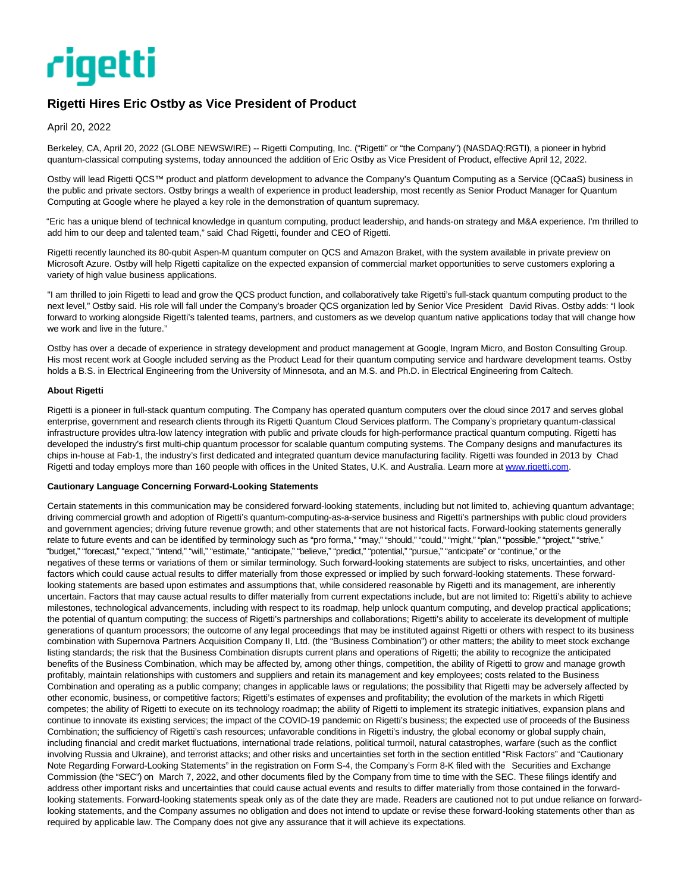

## **Rigetti Hires Eric Ostby as Vice President of Product**

April 20, 2022

Berkeley, CA, April 20, 2022 (GLOBE NEWSWIRE) -- Rigetti Computing, Inc. ("Rigetti" or "the Company") (NASDAQ:RGTI), a pioneer in hybrid quantum-classical computing systems, today announced the addition of Eric Ostby as Vice President of Product, effective April 12, 2022.

Ostby will lead Rigetti QCS™ product and platform development to advance the Company's Quantum Computing as a Service (QCaaS) business in the public and private sectors. Ostby brings a wealth of experience in product leadership, most recently as Senior Product Manager for Quantum Computing at Google where he played a key role in the demonstration of quantum supremacy.

"Eric has a unique blend of technical knowledge in quantum computing, product leadership, and hands-on strategy and M&A experience. I'm thrilled to add him to our deep and talented team," said Chad Rigetti, founder and CEO of Rigetti.

Rigetti recently launched its 80-qubit Aspen-M quantum computer on QCS and Amazon Braket, with the system available in private preview on Microsoft Azure. Ostby will help Rigetti capitalize on the expected expansion of commercial market opportunities to serve customers exploring a variety of high value business applications.

"I am thrilled to join Rigetti to lead and grow the QCS product function, and collaboratively take Rigetti's full-stack quantum computing product to the next level," Ostby said. His role will fall under the Company's broader QCS organization led by Senior Vice President David Rivas. Ostby adds: "I look forward to working alongside Rigetti's talented teams, partners, and customers as we develop quantum native applications today that will change how we work and live in the future."

Ostby has over a decade of experience in strategy development and product management at Google, Ingram Micro, and Boston Consulting Group. His most recent work at Google included serving as the Product Lead for their quantum computing service and hardware development teams. Ostby holds a B.S. in Electrical Engineering from the University of Minnesota, and an M.S. and Ph.D. in Electrical Engineering from Caltech.

## **About Rigetti**

Rigetti is a pioneer in full-stack quantum computing. The Company has operated quantum computers over the cloud since 2017 and serves global enterprise, government and research clients through its Rigetti Quantum Cloud Services platform. The Company's proprietary quantum-classical infrastructure provides ultra-low latency integration with public and private clouds for high-performance practical quantum computing. Rigetti has developed the industry's first multi-chip quantum processor for scalable quantum computing systems. The Company designs and manufactures its chips in-house at Fab-1, the industry's first dedicated and integrated quantum device manufacturing facility. Rigetti was founded in 2013 by Chad Rigetti and today employs more than 160 people with offices in the United States, U.K. and Australia. Learn more at [www.rigetti.com.](https://www.globenewswire.com/Tracker?data=JCfXLW-u3kBtuidqHGei1nditH0UKCCVo0xZyAz9J6niqW7y1DNG94ruqiRjCatL3aOT1yqM1u16tmBgxQV9sw==)

## **Cautionary Language Concerning Forward-Looking Statements**

Certain statements in this communication may be considered forward-looking statements, including but not limited to, achieving quantum advantage; driving commercial growth and adoption of Rigetti's quantum-computing-as-a-service business and Rigetti's partnerships with public cloud providers and government agencies; driving future revenue growth; and other statements that are not historical facts. Forward-looking statements generally relate to future events and can be identified by terminology such as "pro forma," "may," "should," "could," "might," "plan," "possible," "project," "strive," "budget," "forecast," "expect," "intend," "will," "estimate," "anticipate," "believe," "predict," "potential," "pursue," "anticipate" or "continue," or the negatives of these terms or variations of them or similar terminology. Such forward-looking statements are subject to risks, uncertainties, and other factors which could cause actual results to differ materially from those expressed or implied by such forward-looking statements. These forwardlooking statements are based upon estimates and assumptions that, while considered reasonable by Rigetti and its management, are inherently uncertain. Factors that may cause actual results to differ materially from current expectations include, but are not limited to: Rigetti's ability to achieve milestones, technological advancements, including with respect to its roadmap, help unlock quantum computing, and develop practical applications; the potential of quantum computing; the success of Rigetti's partnerships and collaborations; Rigetti's ability to accelerate its development of multiple generations of quantum processors; the outcome of any legal proceedings that may be instituted against Rigetti or others with respect to its business combination with Supernova Partners Acquisition Company II, Ltd. (the "Business Combination") or other matters; the ability to meet stock exchange listing standards; the risk that the Business Combination disrupts current plans and operations of Rigetti; the ability to recognize the anticipated benefits of the Business Combination, which may be affected by, among other things, competition, the ability of Rigetti to grow and manage growth profitably, maintain relationships with customers and suppliers and retain its management and key employees; costs related to the Business Combination and operating as a public company; changes in applicable laws or regulations; the possibility that Rigetti may be adversely affected by other economic, business, or competitive factors; Rigetti's estimates of expenses and profitability; the evolution of the markets in which Rigetti competes; the ability of Rigetti to execute on its technology roadmap; the ability of Rigetti to implement its strategic initiatives, expansion plans and continue to innovate its existing services; the impact of the COVID-19 pandemic on Rigetti's business; the expected use of proceeds of the Business Combination; the sufficiency of Rigetti's cash resources; unfavorable conditions in Rigetti's industry, the global economy or global supply chain, including financial and credit market fluctuations, international trade relations, political turmoil, natural catastrophes, warfare (such as the conflict involving Russia and Ukraine), and terrorist attacks; and other risks and uncertainties set forth in the section entitled "Risk Factors" and "Cautionary Note Regarding Forward-Looking Statements" in the registration on Form S-4, the Company's Form 8-K filed with the Securities and Exchange Commission (the "SEC") on March 7, 2022, and other documents filed by the Company from time to time with the SEC. These filings identify and address other important risks and uncertainties that could cause actual events and results to differ materially from those contained in the forwardlooking statements. Forward-looking statements speak only as of the date they are made. Readers are cautioned not to put undue reliance on forwardlooking statements, and the Company assumes no obligation and does not intend to update or revise these forward-looking statements other than as required by applicable law. The Company does not give any assurance that it will achieve its expectations.